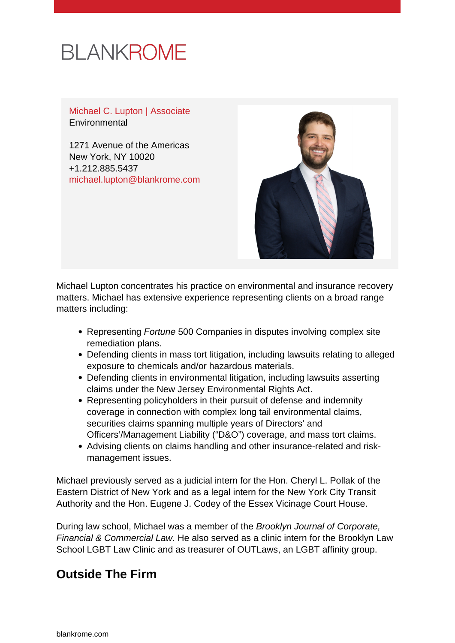# **BLANKROME**

Michael C. Lupton | Associate **Environmental** 

1271 Avenue of the Americas New York, NY 10020 +1.212.885.5437 [michael.lupton@blankrome.com](mailto:michael.lupton@blankrome.com)



Michael Lupton concentrates his practice on environmental and insurance recovery matters. Michael has extensive experience representing clients on a broad range matters including:

- Representing Fortune 500 Companies in disputes involving complex site remediation plans.
- Defending clients in mass tort litigation, including lawsuits relating to alleged exposure to chemicals and/or hazardous materials.
- Defending clients in environmental litigation, including lawsuits asserting claims under the New Jersey Environmental Rights Act.
- Representing policyholders in their pursuit of defense and indemnity coverage in connection with complex long tail environmental claims, securities claims spanning multiple years of Directors' and Officers'/Management Liability ("D&O") coverage, and mass tort claims.
- Advising clients on claims handling and other insurance-related and riskmanagement issues.

Michael previously served as a judicial intern for the Hon. Cheryl L. Pollak of the Eastern District of New York and as a legal intern for the New York City Transit Authority and the Hon. Eugene J. Codey of the Essex Vicinage Court House.

During law school, Michael was a member of the Brooklyn Journal of Corporate, Financial & Commercial Law. He also served as a clinic intern for the Brooklyn Law School LGBT Law Clinic and as treasurer of OUTLaws, an LGBT affinity group.

### **Outside The Firm**